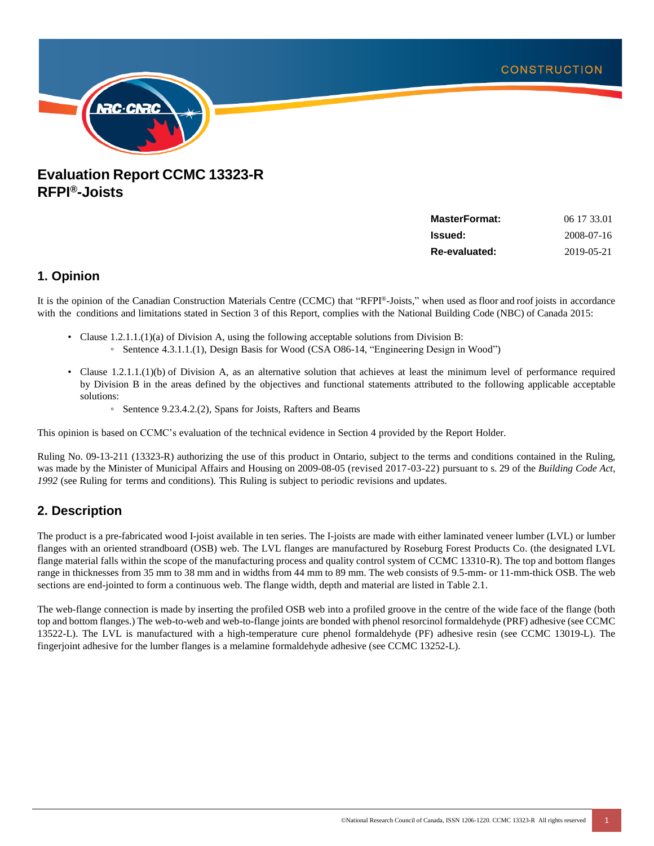

# **Evaluation Report CCMC 13323-R RFPI®-Joists**

| <b>MasterFormat:</b> | 06 17 33.01 |
|----------------------|-------------|
| <b>Issued:</b>       | 2008-07-16  |
| Re-evaluated:        | 2019-05-21  |

# **1. Opinion**

It is the opinion of the Canadian Construction Materials Centre (CCMC) that "RFPI® -Joists," when used asfloor and roof joists in accordance with the conditions and limitations stated in Section 3 of this Report, complies with the National Building Code (NBC) of Canada 2015:

- Clause 1.2.1.1.(1)(a) of Division A, using the following acceptable solutions from Division B: ◦ Sentence 4.3.1.1.(1), Design Basis for Wood (CSA O86-14, "Engineering Design in Wood")
- Clause 1.2.1.1.(1)(b) of Division A, as an alternative solution that achieves at least the minimum level of performance required by Division B in the areas defined by the objectives and functional statements attributed to the following applicable acceptable solutions:
	- Sentence 9.23.4.2.(2), Spans for Joists, Rafters and Beams

This opinion is based on CCMC's evaluation of the technical evidence in Section 4 provided by the Report Holder.

Ruling No. 09-13-211 (13323-R) authorizing the use of this product in Ontario, subject to the terms and conditions contained in the Ruling, was made by the Minister of Municipal Affairs and Housing on 2009-08-05 (revised 2017-03-22) pursuant to s. 29 of the *Building Code Act, 1992* (see Ruling for terms and conditions). This Ruling is subject to periodic revisions and updates.

# **2. Description**

The product is a pre-fabricated wood I-joist available in ten series. The I-joists are made with either laminated veneer lumber (LVL) or lumber flanges with an oriented strandboard (OSB) web. The LVL flanges are manufactured by Roseburg Forest Products Co. (the designated LVL flange material falls within the scope of the manufacturing process and quality control system of CCMC 13310-R). The top and bottom flanges range in thicknesses from 35 mm to 38 mm and in widths from 44 mm to 89 mm. The web consists of 9.5-mm- or 11-mm-thick OSB. The web sections are end-jointed to form a continuous web. The flange width, depth and material are listed in Table 2.1.

The web-flange connection is made by inserting the profiled OSB web into a profiled groove in the centre of the wide face of the flange (both top and bottom flanges.) The web-to-web and web-to-flange joints are bonded with phenol resorcinol formaldehyde (PRF) adhesive (see CCMC 13522-L). The LVL is manufactured with a high-temperature cure phenol formaldehyde (PF) adhesive resin (see CCMC 13019-L). The fingerjoint adhesive for the lumber flanges is a melamine formaldehyde adhesive (see CCMC 13252-L).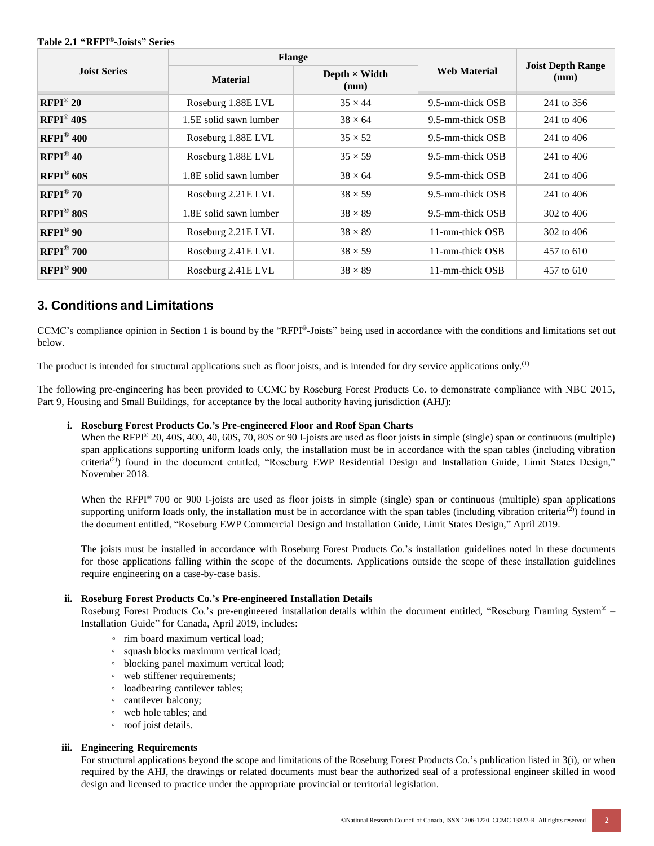#### **Table 2.1 "RFPI® -Joists" Series**

|                           |                                                 | <b>Flange</b>  |                     |                                  |  |
|---------------------------|-------------------------------------------------|----------------|---------------------|----------------------------------|--|
| <b>Joist Series</b>       | Depth $\times$ Width<br><b>Material</b><br>(mm) |                | <b>Web Material</b> | <b>Joist Depth Range</b><br>(mm) |  |
| $RFPI^{\circledcirc}20$   | Roseburg 1.88E LVL                              | $35 \times 44$ | 9.5-mm-thick OSB    | 241 to 356                       |  |
| $RFPI^{\circledcirc}$ 40S | 1.5E solid sawn lumber                          | $38 \times 64$ | 9.5-mm-thick OSB    | 241 to 406                       |  |
| $RFPI^{\circledR}$ 400    | Roseburg 1.88E LVL                              | $35 \times 52$ | 9.5-mm-thick OSB    | 241 to 406                       |  |
| $RFPI^{\circledR}40$      | Roseburg 1.88E LVL                              | $35 \times 59$ | 9.5-mm-thick OSB    | 241 to 406                       |  |
| $RFPI^@$ 60S              | 1.8E solid sawn lumber                          | $38 \times 64$ | 9.5-mm-thick OSB    | 241 to 406                       |  |
| $RFPI^{\circledR}$ 70     | Roseburg 2.21E LVL                              | $38 \times 59$ | 9.5-mm-thick OSB    | 241 to 406                       |  |
| $RFPI^@$ 80S              | 1.8E solid sawn lumber                          | $38 \times 89$ | 9.5-mm-thick OSB    | $302$ to 406                     |  |
| $RFPI^{\circledR}90$      | Roseburg 2.21E LVL                              | $38 \times 89$ | 11-mm-thick OSB     | 302 to 406                       |  |
| $RFPI^{\circledR}$ 700    | Roseburg 2.41E LVL                              | $38 \times 59$ | 11-mm-thick OSB     | 457 to 610                       |  |
| $RFPI^@$ 900              | Roseburg 2.41E LVL                              | $38 \times 89$ | 11-mm-thick OSB     | 457 to 610                       |  |

# **3. Conditions and Limitations**

CCMC's compliance opinion in Section 1 is bound by the "RFPI® -Joists" being used in accordance with the conditions and limitations set out below.

The product is intended for structural applications such as floor joists, and is intended for dry service applications only.<sup>(1)</sup>

The following pre-engineering has been provided to CCMC by Roseburg Forest Products Co. to demonstrate compliance with NBC 2015, Part 9, Housing and Small Buildings, for acceptance by the local authority having jurisdiction (AHJ):

### **i. Roseburg Forest Products Co.'s Pre-engineered Floor and Roof Span Charts**

When the RFPI<sup>®</sup> 20, 40S, 400, 40, 60S, 70, 80S or 90 I-joists are used as floor joists in simple (single) span or continuous (multiple) span applications supporting uniform loads only, the installation must be in accordance with the span tables (including vibration criteria<sup>(2)</sup>) found in the document entitled, "Roseburg EWP Residential Design and Installation Guide, Limit States Design," November 2018.

When the RFPI® 700 or 900 I-joists are used as floor joists in simple (single) span or continuous (multiple) span applications supporting uniform loads only, the installation must be in accordance with the span tables (including vibration criteria<sup>(2)</sup>) found in the document entitled, "Roseburg EWP Commercial Design and Installation Guide, Limit States Design," April 2019.

The joists must be installed in accordance with Roseburg Forest Products Co.'s installation guidelines noted in these documents for those applications falling within the scope of the documents. Applications outside the scope of these installation guidelines require engineering on a case-by-case basis.

### **ii. Roseburg Forest Products Co.'s Pre-engineered Installation Details**

Roseburg Forest Products Co.'s pre-engineered installation details within the document entitled, "Roseburg Framing System® – Installation Guide" for Canada, April 2019, includes:

- rim board maximum vertical load;
- squash blocks maximum vertical load;
- blocking panel maximum vertical load;
- web stiffener requirements;
- loadbearing cantilever tables;
- cantilever balcony;
- web hole tables; and
- roof joist details.

### **iii. Engineering Requirements**

For structural applications beyond the scope and limitations of the Roseburg Forest Products Co.'s publication listed in 3(i), or when required by the AHJ, the drawings or related documents must bear the authorized seal of a professional engineer skilled in wood design and licensed to practice under the appropriate provincial or territorial legislation.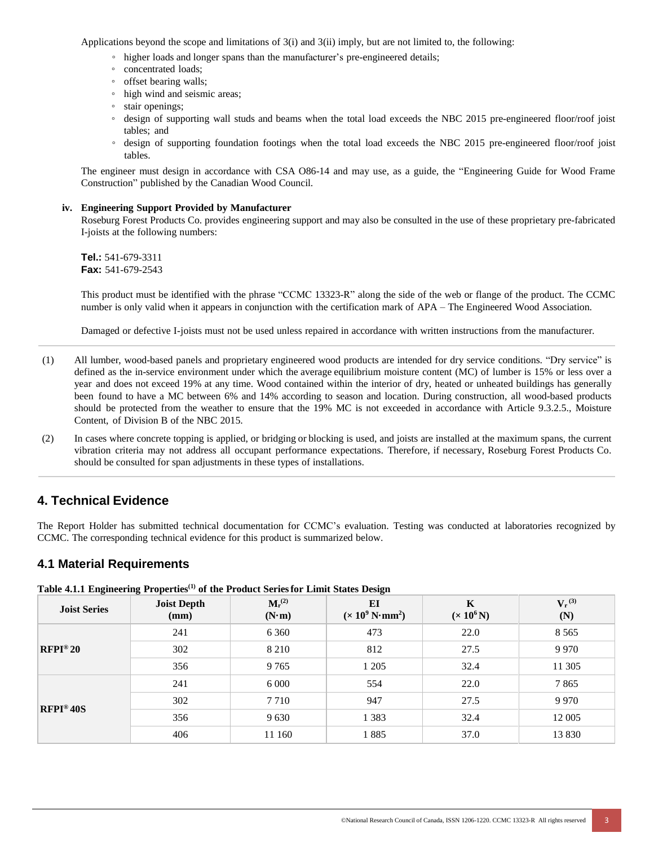Applications beyond the scope and limitations of 3(i) and 3(ii) imply, but are not limited to, the following:

- higher loads and longer spans than the manufacturer's pre-engineered details;
- concentrated loads;
- offset bearing walls;
- high wind and seismic areas;
- stair openings;
- design of supporting wall studs and beams when the total load exceeds the NBC 2015 pre-engineered floor/roof joist tables; and
- design of supporting foundation footings when the total load exceeds the NBC 2015 pre-engineered floor/roof joist tables.

The engineer must design in accordance with CSA O86-14 and may use, as a guide, the "Engineering Guide for Wood Frame Construction" published by the Canadian Wood Council.

#### **iv. Engineering Support Provided by Manufacturer**

Roseburg Forest Products Co. provides engineering support and may also be consulted in the use of these proprietary pre-fabricated I-joists at the following numbers:

**Tel.:** 541-679-3311 **Fax:** 541-679-2543

This product must be identified with the phrase "CCMC 13323-R" along the side of the web or flange of the product. The CCMC number is only valid when it appears in conjunction with the certification mark of APA – The Engineered Wood Association.

Damaged or defective I-joists must not be used unless repaired in accordance with written instructions from the manufacturer.

- (1) All lumber, wood-based panels and proprietary engineered wood products are intended for dry service conditions. "Dry service" is defined as the in-service environment under which the average equilibrium moisture content (MC) of lumber is 15% or less over a year and does not exceed 19% at any time. Wood contained within the interior of dry, heated or unheated buildings has generally been found to have a MC between 6% and 14% according to season and location. During construction, all wood-based products should be protected from the weather to ensure that the 19% MC is not exceeded in accordance with Article 9.3.2.5., Moisture Content, of Division B of the NBC 2015.
- (2) In cases where concrete topping is applied, or bridging or blocking is used, and joists are installed at the maximum spans, the current vibration criteria may not address all occupant performance expectations. Therefore, if necessary, Roseburg Forest Products Co. should be consulted for span adjustments in these types of installations.

# **4. Technical Evidence**

The Report Holder has submitted technical documentation for CCMC's evaluation. Testing was conducted at laboratories recognized by CCMC. The corresponding technical evidence for this product is summarized below.

### **4.1 Material Requirements**

|                         | $\frac{1}{2}$ which is in the contract of the conditional contract contract contract $\frac{1}{2}$ where |                              |                                                        |                        |                    |  |
|-------------------------|----------------------------------------------------------------------------------------------------------|------------------------------|--------------------------------------------------------|------------------------|--------------------|--|
| <b>Joist Series</b>     | <b>Joist Depth</b><br>(mm)                                                                               | $M_r^{(2)}$<br>$(N \cdot m)$ | EI<br>$(\times 10^9 \,\mathrm{N} \cdot \mathrm{mm}^2)$ | K<br>$(\times 10^6 N)$ | $V_r^{(3)}$<br>(N) |  |
|                         | 241                                                                                                      | 6 3 6 0                      | 473                                                    | 22.0                   | 8 5 6 5            |  |
| $RFPI^{\circledast}20$  | 302                                                                                                      | 8 2 1 0                      | 812                                                    | 27.5                   | 9 9 7 0            |  |
|                         | 356                                                                                                      | 9765                         | 1 2 0 5                                                | 32.4                   | 11 305             |  |
| $RFPI^{\circledast}40S$ | 241                                                                                                      | 6 0 0 0                      | 554                                                    | 22.0                   | 7865               |  |
|                         | 302                                                                                                      | 7 7 1 0                      | 947                                                    | 27.5                   | 9 9 7 0            |  |
|                         | 356                                                                                                      | 9630                         | 1 3 8 3                                                | 32.4                   | 12 005             |  |
|                         | 406                                                                                                      | 11 160                       | 1885                                                   | 37.0                   | 13 8 30            |  |

**Table 4.1.1 Engineering Properties[\(1\)](#page-3-0) of the Product Seriesfor Limit States Design**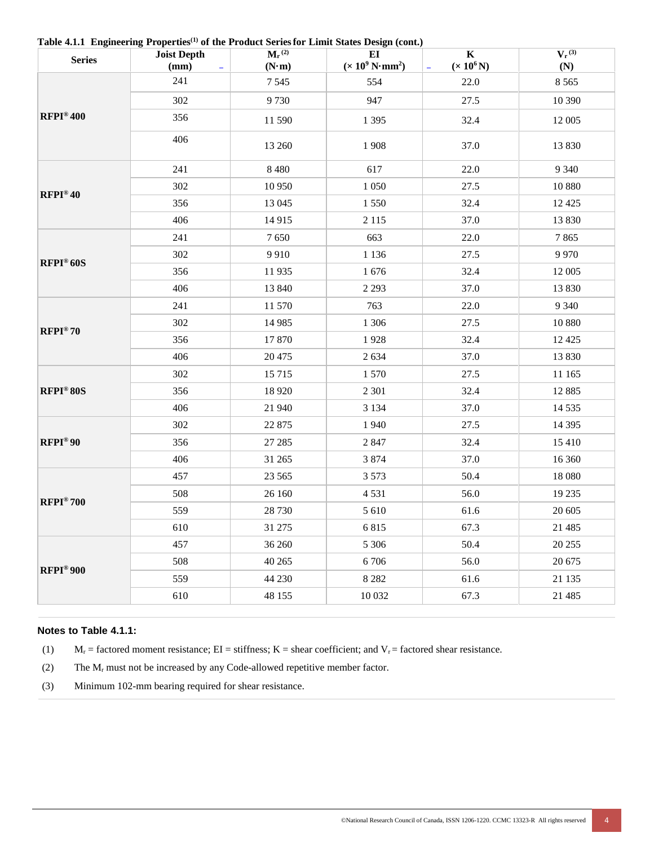| <b>Series</b>            | <b>Joist Depth</b><br>(mm)<br>$\overline{\phantom{a}}$ | $M_r^{(2)}$<br>$(N \cdot m)$ | $\mu$ and $\mu$ and $\mu$ and $\mu$ and $\mu$ and $\mu$ and $\mu$ and $\mu$ and $\mu$<br>EI<br>$(\times 10^9 \,\mathrm{N} \cdot \mathrm{mm}^2)$ | $\mathbf K$<br>$(x 10^6 N)$<br>÷ | $V_r^{(3)}$<br>(N) |
|--------------------------|--------------------------------------------------------|------------------------------|-------------------------------------------------------------------------------------------------------------------------------------------------|----------------------------------|--------------------|
|                          | 241                                                    | 7545                         | 554                                                                                                                                             | 22.0                             | 8 5 6 5            |
|                          | 302                                                    | 9730                         | 947                                                                                                                                             | 27.5                             | 10 390             |
| $RFPI^{\circledast}$ 400 | 356                                                    | 11 590                       | 1 3 9 5                                                                                                                                         | 32.4                             | 12 005             |
|                          | 406                                                    | 13 260                       | 1908                                                                                                                                            | 37.0                             | 13 830             |
|                          | 241                                                    | 8 4 8 0                      | 617                                                                                                                                             | 22.0                             | 9 3 4 0            |
| $RFPI^{\circledast}40$   | 302                                                    | 10 950                       | 1 0 5 0                                                                                                                                         | 27.5                             | 10 880             |
|                          | 356                                                    | 13 045                       | 1 5 5 0                                                                                                                                         | 32.4                             | 12 4 25            |
|                          | 406                                                    | 14 9 15                      | 2 1 1 5                                                                                                                                         | 37.0                             | 13 8 30            |
|                          | 241                                                    | 7650                         | 663                                                                                                                                             | 22.0                             | 7865               |
| $RFPI^{\circledast}$ 60S | 302                                                    | 9910                         | 1 1 3 6                                                                                                                                         | 27.5                             | 9 9 7 0            |
|                          | 356                                                    | 11935                        | 1676                                                                                                                                            | 32.4                             | 12 005             |
|                          | 406                                                    | 13 840                       | 2 2 9 3                                                                                                                                         | 37.0                             | 13 830             |
|                          | 241                                                    | 11 570                       | 763                                                                                                                                             | 22.0                             | 9 3 4 0            |
| $RFPI^{\circledast}70$   | 302                                                    | 14 9 85                      | 1 3 0 6                                                                                                                                         | 27.5                             | 10 880             |
|                          | 356                                                    | 17870                        | 1928                                                                                                                                            | 32.4                             | 12 4 25            |
|                          | 406                                                    | 20 4 75                      | 2634                                                                                                                                            | 37.0                             | 13 830             |
| RFPI®80S                 | 302                                                    | 15 7 15                      | 1570                                                                                                                                            | 27.5                             | 11 165             |
|                          | 356                                                    | 18 9 20                      | 2 3 0 1                                                                                                                                         | 32.4                             | 12 8 8 5           |
|                          | 406                                                    | 21 940                       | 3 1 3 4                                                                                                                                         | 37.0                             | 14 5 35            |
|                          | 302                                                    | 22 875                       | 1940                                                                                                                                            | 27.5                             | 14 3 95            |
| $RFPI^{\circledast}90$   | 356                                                    | 27 28 5                      | 2847                                                                                                                                            | 32.4                             | 15 410             |
|                          | 406                                                    | 31 265                       | 3 8 7 4                                                                                                                                         | 37.0                             | 16 360             |
|                          | 457                                                    | 23 5 65                      | 3 5 7 3                                                                                                                                         | 50.4                             | 18 080             |
| $RFPI^{\circledast}700$  | 508                                                    | 26 160                       | 4531                                                                                                                                            | 56.0                             | 19 235             |
|                          | 559                                                    | 28 7 30                      | 5 6 10                                                                                                                                          | 61.6                             | 20 605             |
|                          | 610                                                    | 31 275                       | 6815                                                                                                                                            | 67.3                             | 21 4 8 5           |
|                          | 457                                                    | 36 260                       | 5 3 0 6                                                                                                                                         | 50.4                             | 20 25 5            |
| RFPI®900                 | 508                                                    | 40 265                       | 6706                                                                                                                                            | 56.0                             | 20 675             |
|                          | 559                                                    | 44 230                       | 8 2 8 2                                                                                                                                         | 61.6                             | 21 135             |
|                          | 610                                                    | 48 155                       | 10 032                                                                                                                                          | 67.3                             | 21 485             |

**Table 4.1.1 Engineering Properties[\(1\)](#page-3-0) of the Product Seriesfor Limit States Design (cont.)**

### <span id="page-3-0"></span>**Notes to Table 4.1.1:**

(1)  $M_r$  = factored moment resistance; EI = stiffness; K = shear coefficient; and V<sub>r</sub> = factored shear resistance.

(2) The  $M_r$  must not be increased by any Code-allowed repetitive member factor.

(3) Minimum 102-mm bearing required for shear resistance.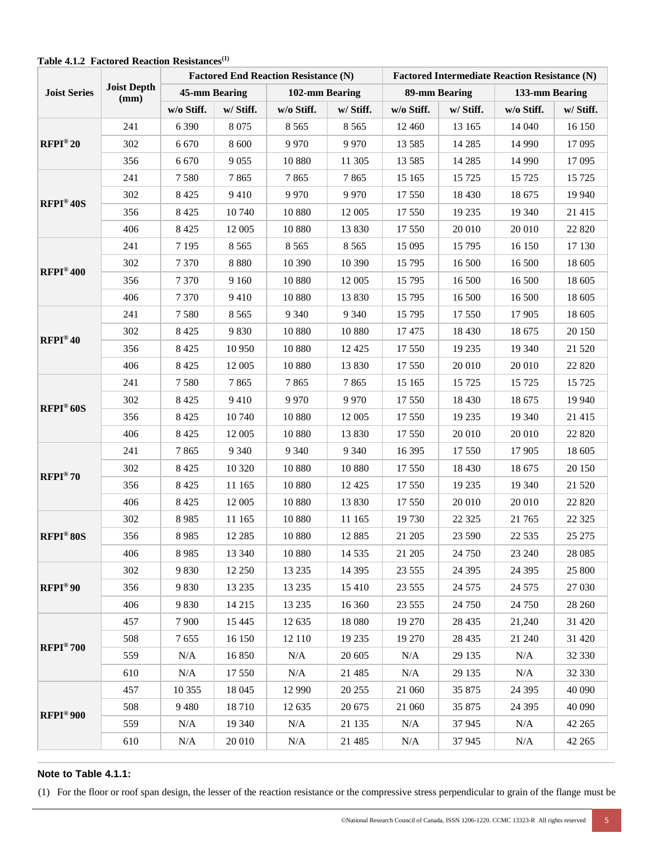| <b>Joist Depth</b><br><b>Joist Series</b><br>(mm) |     | <b>Factored End Reaction Resistance (N)</b> |           |                |           | <b>Factored Intermediate Reaction Resistance (N)</b> |               |            |                |
|---------------------------------------------------|-----|---------------------------------------------|-----------|----------------|-----------|------------------------------------------------------|---------------|------------|----------------|
|                                                   |     | 45-mm Bearing                               |           | 102-mm Bearing |           |                                                      | 89-mm Bearing |            | 133-mm Bearing |
|                                                   |     | w/o Stiff.                                  | w/ Stiff. | w/o Stiff.     | w/ Stiff. | w/o Stiff.                                           | w/ Stiff.     | w/o Stiff. | w/ Stiff.      |
|                                                   | 241 | 6 3 9 0                                     | 8075      | 8 5 6 5        | 8 5 6 5   | 12 4 6 0                                             | 13 165        | 14 040     | 16 150         |
| $RFPI^{\circledast}20$                            | 302 | 6 6 7 0                                     | 8 600     | 9970           | 9970      | 13 5 8 5                                             | 14 2 8 5      | 14 9 9 0   | 17 095         |
|                                                   | 356 | 6 6 7 0                                     | 9 0 5 5   | 10 880         | 11 305    | 13 5 8 5                                             | 14 2 8 5      | 14 9 9 0   | 17 095         |
|                                                   | 241 | 7580                                        | 7865      | 7865           | 7865      | 15 165                                               | 15 7 25       | 15 7 25    | 15 7 25        |
|                                                   | 302 | 8 4 2 5                                     | 9410      | 9970           | 9970      | 17 550                                               | 18 4 30       | 18 675     | 19 940         |
| $RFPI^{\circledast}40S$                           | 356 | 8 4 2 5                                     | 10740     | 10 880         | 12 005    | 17 550                                               | 19 235        | 19 340     | 21 415         |
|                                                   | 406 | 8 4 2 5                                     | 12 005    | 10 880         | 13 830    | 17 550                                               | 20 010        | 20 010     | 22 8 20        |
|                                                   | 241 | 7 1 9 5                                     | 8 5 6 5   | 8 5 6 5        | 8 5 6 5   | 15 0 95                                              | 15 795        | 16 150     | 17 130         |
|                                                   | 302 | 7 3 7 0                                     | 8 8 8 0   | 10 390         | 10 390    | 15 7 95                                              | 16 500        | 16 500     | 18 605         |
| $RFPI^{\circledast}400$                           | 356 | 7 3 7 0                                     | 9 1 6 0   | 10 880         | 12 005    | 15 795                                               | 16 500        | 16 500     | 18 605         |
|                                                   | 406 | 7 3 7 0                                     | 9410      | 10 880         | 13 830    | 15 7 95                                              | 16 500        | 16 500     | 18 605         |
|                                                   | 241 | 7580                                        | 8 5 6 5   | 9 3 4 0        | 9 3 4 0   | 15 7 95                                              | 17 550        | 17 905     | 18 605         |
|                                                   | 302 | 8 4 2 5                                     | 9830      | 10 880         | 10 880    | 17475                                                | 18 4 30       | 18 675     | 20 150         |
| $RFPI^{\circledast}40$                            | 356 | 8 4 2 5                                     | 10 950    | 10 880         | 12 4 25   | 17 550                                               | 19 235        | 19 340     | 21 5 20        |
|                                                   | 406 | 8 4 2 5                                     | 12 005    | 10 880         | 13 830    | 17 550                                               | 20 010        | 20 010     | 22 8 20        |
|                                                   | 241 | 7580                                        | 7865      | 7865           | 7865      | 15 165                                               | 15 7 25       | 15 7 25    | 15 7 25        |
|                                                   | 302 | 8 4 2 5                                     | 9410      | 9970           | 9970      | 17 550                                               | 18 4 30       | 18 675     | 19 940         |
| RFPI®60S                                          | 356 | 8 4 2 5                                     | 10 740    | 10 880         | 12 005    | 17 550                                               | 19 235        | 19 340     | 21 415         |
|                                                   | 406 | 8 4 2 5                                     | 12 005    | 10 880         | 13 830    | 17 550                                               | 20 010        | 20 010     | 22 8 20        |
|                                                   | 241 | 7865                                        | 9 3 4 0   | 9 3 4 0        | 9 3 4 0   | 16 3 95                                              | 17 550        | 17 905     | 18 605         |
|                                                   | 302 | 8 4 2 5                                     | 10 3 20   | 10 880         | 10 880    | 17 550                                               | 18 4 30       | 18 675     | 20 150         |
| $RFPI^{\circledast}70$                            | 356 | 8 4 2 5                                     | 11 165    | 10 880         | 12 4 25   | 17 550                                               | 19 235        | 19 340     | 21 5 20        |
|                                                   | 406 | 8 4 2 5                                     | 12 005    | 10 880         | 13 830    | 17 550                                               | 20 010        | 20 010     | 22 8 20        |
|                                                   | 302 | 8985                                        | 11 165    | 10 880         | 11 165    | 19 730                                               | 22 3 25       | 21 765     | 22 3 25        |
| RFPI®80S                                          | 356 | 8985                                        | 12 2 8 5  | 10 880         | 12 8 8 5  | 21 205                                               | 23 590        | 22 5 35    | 25 27 5        |
|                                                   | 406 | 8985                                        | 13 340    | 10 880         | 14 5 35   | 21 205                                               | 24 750        | 23 240     | 28 08 5        |
|                                                   | 302 | 9830                                        | 12 250    | 13 2 35        | 14 3 95   | 23 5 5 5                                             | 24 3 95       | 24 3 95    | 25 800         |
| $RFPI^{\circledast}90$                            | 356 | 9830                                        | 13 2 35   | 13 2 35        | 15 4 10   | 23 5 5 5                                             | 24 5 7 5      | 24 5 7 5   | 27 030         |
|                                                   | 406 | 9830                                        | 14 215    | 13 2 35        | 16 360    | 23 5 5 5                                             | 24 750        | 24 750     | 28 260         |
|                                                   | 457 | 7900                                        | 15 4 45   | 12 635         | 18 080    | 19 270                                               | 28 4 35       | 21,240     | 31 4 20        |
|                                                   | 508 | 7655                                        | 16 150    | 12 110         | 19 235    | 19 270                                               | 28 4 35       | 21 240     | 31 4 20        |
| $RFPI^{\circledast}700$                           | 559 | N/A                                         | 16 850    | N/A            | 20 605    | N/A                                                  | 29 135        | N/A        | 32 330         |
|                                                   | 610 | N/A                                         | 17 550    | $\rm N/A$      | 21 485    | N/A                                                  | 29 135        | N/A        | 32 330         |
|                                                   | 457 | 10 355                                      | 18 045    | 12 990         | 20 25 5   | 21 060                                               | 35 875        | 24 3 95    | 40 090         |
|                                                   | 508 | 9480                                        | 18710     | 12 635         | 20 675    | 21 060                                               | 35 875        | 24 3 95    | 40 090         |
| $RFPI^{\circledast}900$                           | 559 | N/A                                         | 19 340    | N/A            | 21 135    | N/A                                                  | 37 945        | N/A        | 42 265         |
|                                                   | 610 | N/A                                         | 20 010    | $\rm N/A$      | 21 4 8 5  | N/A                                                  | 37 945        | N/A        | 42 265         |

#### **Table 4.1.2 Factored Reaction Resistances(1)**

### **Note to Table 4.1.1:**

(1) For the floor or roof span design, the lesser of the reaction resistance or the compressive stress perpendicular to grain of the flange must be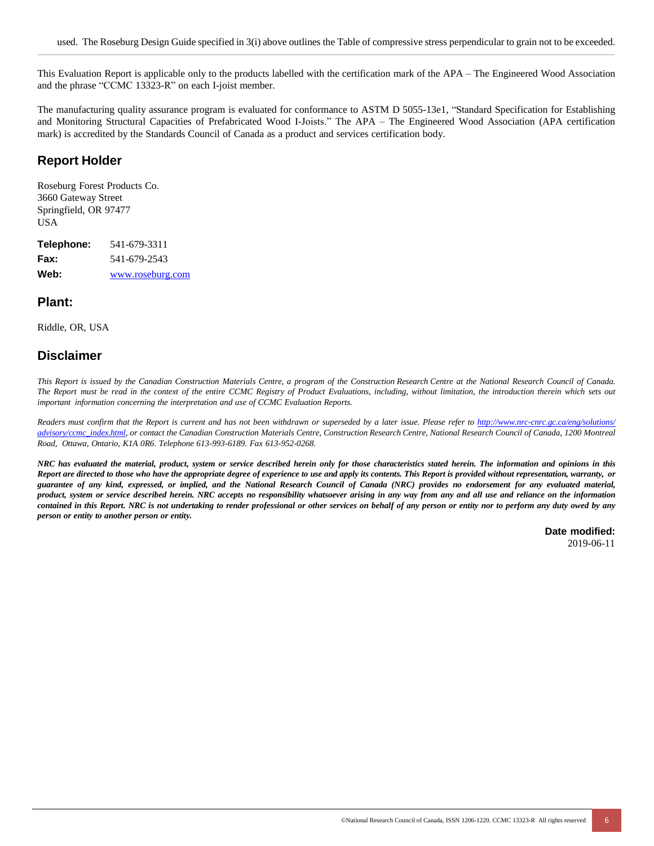This Evaluation Report is applicable only to the products labelled with the certification mark of the APA – The Engineered Wood Association and the phrase "CCMC 13323-R" on each I-joist member.

The manufacturing quality assurance program is evaluated for conformance to ASTM D 5055-13e1, "Standard Specification for Establishing and Monitoring Structural Capacities of Prefabricated Wood I-Joists." The APA – The Engineered Wood Association (APA certification mark) is accredited by the Standards Council of Canada as a product and services certification body.

### **Report Holder**

Roseburg Forest Products Co. 3660 Gateway Street Springfield, OR 97477 USA

**Telephone:** 541-679-3311 **Fax:** 541-679-2543 **Web:** [www.roseburg.com](http://www.roseburg.com/)

### **Plant:**

Riddle, OR, USA

# **Disclaimer**

This Report is issued by the Canadian Construction Materials Centre, a program of the Construction Research Centre at the National Research Council of Canada. The Report must be read in the context of the entire CCMC Registry of Product Evaluations, including, without limitation, the introduction therein which sets out *important information concerning the interpretation and use of CCMC Evaluation Reports.*

Readers must confirm that the Report is current and has not been withdrawn or superseded by a later issue. Please refer to http://www.nrc-cnrc.gc.ca/eng/solutions/ [advisory/ccmc\\_index.html,](http://www.nrc-cnrc.gc.ca/eng/solutions/advisory/ccmc_index.html) or contact the Canadian Construction Materials Centre, Construction Research Centre, National Research Council of Canada, 1200 Montreal *Road, Ottawa, Ontario, K1A 0R6. Telephone 613-993-6189. Fax 613-952-0268.*

NRC has evaluated the material, product, system or service described herein only for those characteristics stated herein. The information and opinions in this Report are directed to those who have the appropriate degree of experience to use and apply its contents. This Report is provided without representation, warranty, or guarantee of any kind, expressed, or implied, and the National Research Council of Canada (NRC) provides no endorsement for any evaluated material, product, system or service described herein. NRC accepts no responsibility whatsoever arising in any way from any and all use and reliance on the information contained in this Report. NRC is not undertaking to render professional or other services on behalf of any person or entity nor to perform any duty owed by any *person or entity to another person or entity.*

**Date modified:**

2019-06-11